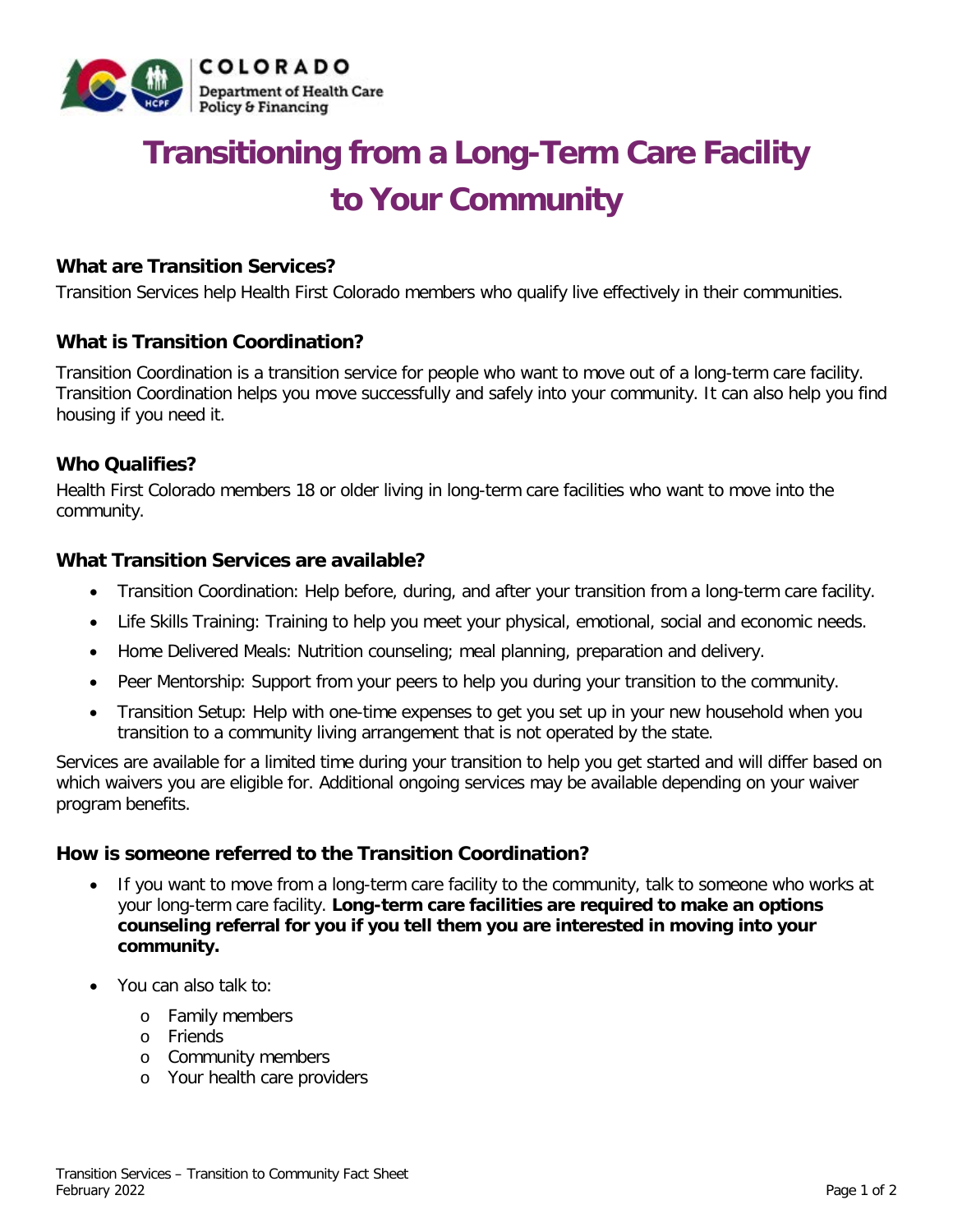

# **Transitioning from a Long-Term Care Facility to Your Community**

# **What are Transition Services?**

Transition Services help Health First Colorado members who qualify live effectively in their communities.

# **What is Transition Coordination?**

Transition Coordination is a transition service for people who want to move out of a long-term care facility. Transition Coordination helps you move successfully and safely into your community. It can also help you find housing if you need it.

# **Who Qualifies?**

Health First Colorado members 18 or older living in long-term care facilities who want to move into the community.

# **What Transition Services are available?**

- Transition Coordination: Help before, during, and after your transition from a long-term care facility.
- Life Skills Training: Training to help you meet your physical, emotional, social and economic needs.
- Home Delivered Meals: Nutrition counseling; meal planning, preparation and delivery.
- Peer Mentorship: Support from your peers to help you during your transition to the community.
- Transition Setup: Help with one-time expenses to get you set up in your new household when you transition to a community living arrangement that is not operated by the state.

Services are available for a limited time during your transition to help you get started and will differ based on which waivers you are eligible for. Additional ongoing services may be available depending on your waiver program benefits.

# **How is someone referred to the Transition Coordination?**

- If you want to move from a long-term care facility to the community, talk to someone who works at your long-term care facility. **Long-term care facilities are required to make an options counseling referral for you if you tell them you are interested in moving into your community.**
- You can also talk to:
	- o Family members
	- o Friends
	- o Community members
	- o Your health care providers